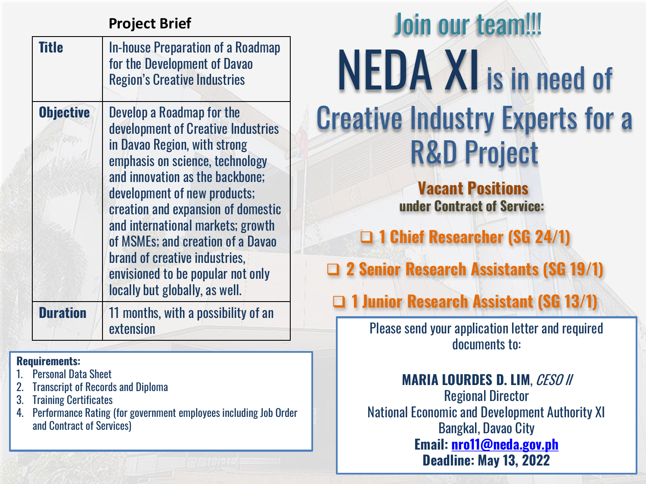| Title            | <b>In-house Preparation of a Roadmap</b><br>for the Development of Davao<br><b>Region's Creative Industries</b>                                                                                                                                                                                                                                                                                                               |
|------------------|-------------------------------------------------------------------------------------------------------------------------------------------------------------------------------------------------------------------------------------------------------------------------------------------------------------------------------------------------------------------------------------------------------------------------------|
| <b>Objective</b> | Develop a Roadmap for the<br>development of Creative Industries<br>in Davao Region, with strong<br>emphasis on science, technology<br>and innovation as the backbone:<br>development of new products;<br>creation and expansion of domestic<br>and international markets; growth<br>of MSMEs; and creation of a Davao<br>brand of creative industries,<br>envisioned to be popular not only<br>locally but globally, as well. |
| <b>Duration</b>  | 11 months, with a possibility of an<br>extension                                                                                                                                                                                                                                                                                                                                                                              |

#### **Requirements:**

- 1. Personal Data Sheet
- **Transcript of Records and Diploma**
- 3. Training Certificates
- 4. Performance Rating (for government employees including Job Order and Contract of Services)

# NEDA XI is in need of Creative Industry Experts for a R&D Project Join our team!!! **Project Brief**

**Vacant Positions under Contract of Service:**

❑ **1 Chief Researcher (SG 24/1)**

❑ **2 Senior Research Assistants (SG 19/1)**

❑ **1 Junior Research Assistant (SG 13/1)**

Please send your application letter and required documents to:

**MARIA LOURDES D. LIM**, CESO II Regional Director National Economic and Development Authority XI Bangkal, Davao City **Email: [nro11@neda.gov.ph](mailto:nro11@neda.gov.ph) Deadline: May 13, 2022**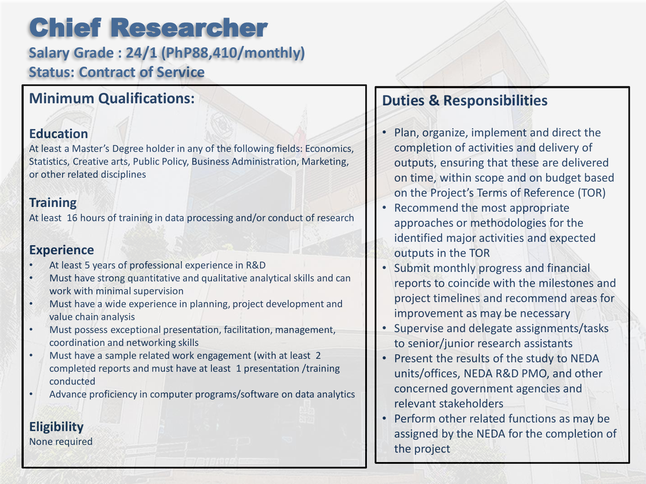### Chief Researcher

**Salary Grade : 24/1 (PhP88,410/monthly) Status: Contract of Service**

### **Minimum Qualifications:**

#### **Education**

At least a Master's Degree holder in any of the following fields: Economics, Statistics, Creative arts, Public Policy, Business Administration, Marketing, or other related disciplines

### **Training**

At least 16 hours of training in data processing and/or conduct of research

### **Experience**

- At least 5 years of professional experience in R&D
- Must have strong quantitative and qualitative analytical skills and can work with minimal supervision
- Must have a wide experience in planning, project development and value chain analysis
- Must possess exceptional presentation, facilitation, management, coordination and networking skills
- Must have a sample related work engagement (with at least 2 completed reports and must have at least 1 presentation /training conducted
- Advance proficiency in computer programs/software on data analytics

### **Duties & Responsibilities**

- Plan, organize, implement and direct the completion of activities and delivery of outputs, ensuring that these are delivered on time, within scope and on budget based on the Project's Terms of Reference (TOR)
- Recommend the most appropriate approaches or methodologies for the identified major activities and expected outputs in the TOR
- Submit monthly progress and financial reports to coincide with the milestones and project timelines and recommend areas for improvement as may be necessary
- Supervise and delegate assignments/tasks to senior/junior research assistants
- Present the results of the study to NEDA units/offices, NEDA R&D PMO, and other concerned government agencies and relevant stakeholders
- Perform other related functions as may be assigned by the NEDA for the completion of the project

None required

**Eligibility**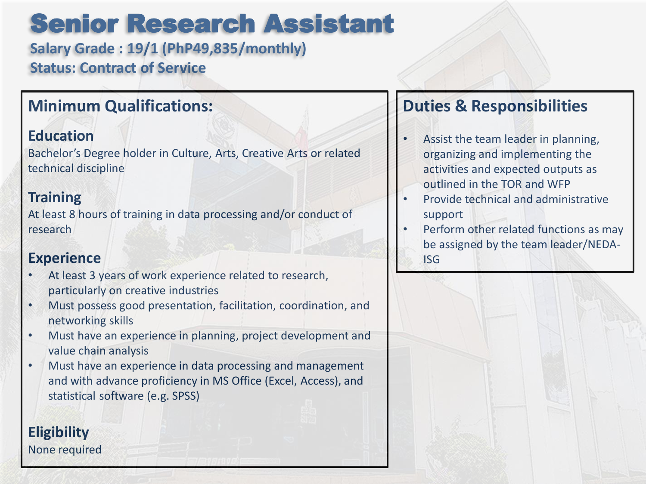### Senior Research Assistant

**Salary Grade : 19/1 (PhP49,835/monthly) Status: Contract of Service**

### **Minimum Qualifications:**

### **Education**

Bachelor's Degree holder in Culture, Arts, Creative Arts or related technical discipline

### **Training**

At least 8 hours of training in data processing and/or conduct of research

### **Experience**

**Eligibility** None required

- At least 3 years of work experience related to research, particularly on creative industries
- Must possess good presentation, facilitation, coordination, and networking skills
- Must have an experience in planning, project development and value chain analysis
- Must have an experience in data processing and management and with advance proficiency in MS Office (Excel, Access), and statistical software (e.g. SPSS)

### **Duties & Responsibilities**

- Assist the team leader in planning, organizing and implementing the activities and expected outputs as outlined in the TOR and WFP
- Provide technical and administrative support
- Perform other related functions as may be assigned by the team leader/NEDA-ISG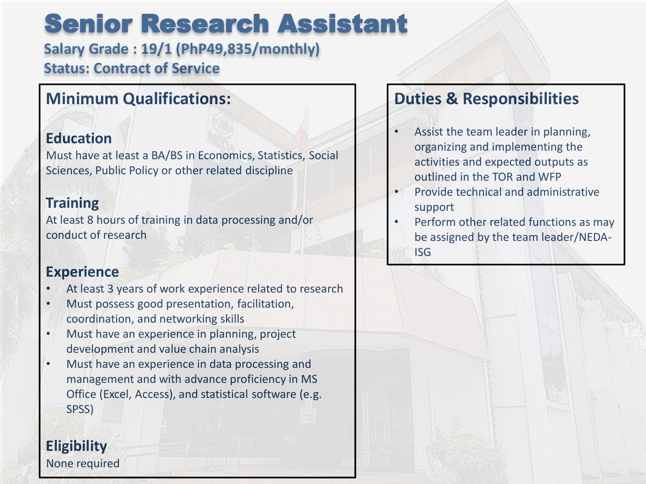### Senior Research Assistant

**Salary Grade : 19/1 (PhP49,835/monthly) Status: Contract of Service**

### **Minimum Qualifications:**

### **Education**

Must have at least a BA/BS in Economics, Statistics, Social Sciences, Public Policy or other related discipline

### **Training**

At least 8 hours of training in data processing and/or conduct of research

### **Experience**

- At least 3 years of work experience related to research
- Must possess good presentation, facilitation, coordination, and networking skills
- Must have an experience in planning, project development and value chain analysis
- Must have an experience in data processing and management and with advance proficiency in MS Office (Excel, Access), and statistical software (e.g. SPSS)

### **Eligibility** None required

### **Duties & Responsibilities**

- Assist the team leader in planning, organizing and implementing the activities and expected outputs as outlined in the TOR and WFP
- Provide technical and administrative support
- Perform other related functions as may be assigned by the team leader/NEDA-ISG